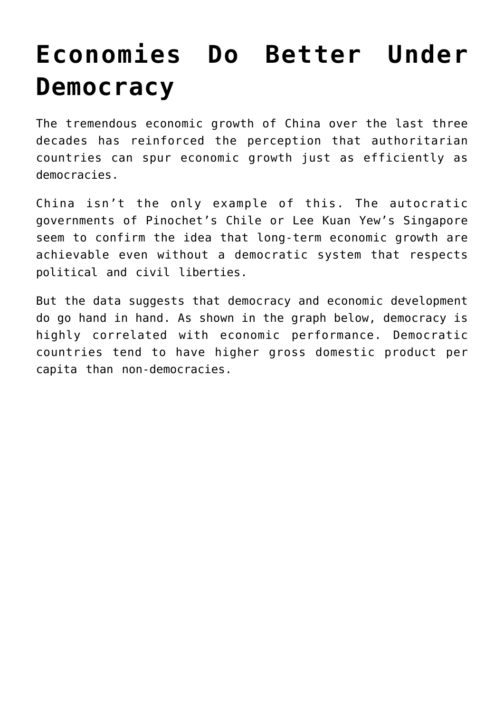## **[Economies Do Better Under](https://intellectualtakeout.org/2019/04/economies-do-better-under-democracy/) [Democracy](https://intellectualtakeout.org/2019/04/economies-do-better-under-democracy/)**

The tremendous economic growth of China over the last three decades has reinforced the perception that authoritarian countries can spur economic growth just as efficiently as democracies.

China isn't the only example of this. The autocratic governments of Pinochet's Chile or Lee Kuan Yew's Singapore seem to confirm the idea that long-term economic growth are achievable even without a democratic system that respects political and civil liberties.

But the data suggests that democracy and economic development do go hand in hand. As shown in the graph below, democracy is highly correlated with economic performance. Democratic countries tend to have higher gross domestic product per capita than non-democracies.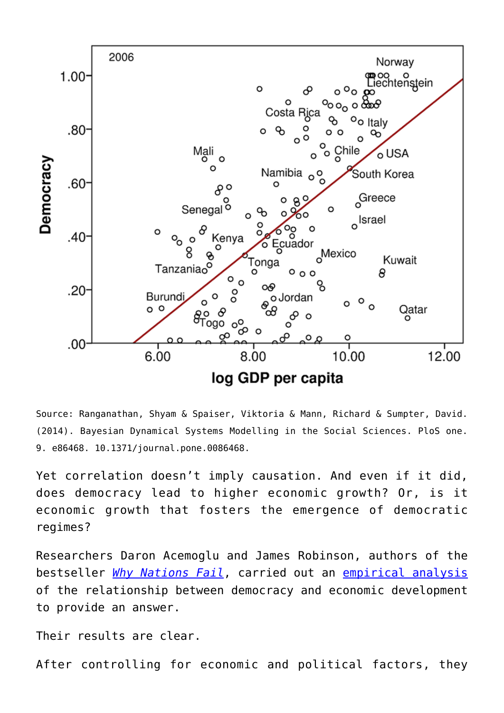

Source: Ranganathan, Shyam & Spaiser, Viktoria & Mann, Richard & Sumpter, David. (2014). Bayesian Dynamical Systems Modelling in the Social Sciences. PloS one. 9. e86468. 10.1371/journal.pone.0086468.

Yet correlation doesn't imply causation. And even if it did, does democracy lead to higher economic growth? Or, is it economic growth that fosters the emergence of democratic regimes?

Researchers Daron Acemoglu and James Robinson, authors of the bestseller *[Why Nations Fail](https://www.amazon.com/gp/product/0307719227/ref=as_li_qf_asin_il_tl?ie=UTF8&tag=intelltakeo0d-20&creative=9325&linkCode=as2&creativeASIN=0307719227&linkId=908c3b3e5528e08c9bf16c5e48fc31e3)*, carried out an [empirical analysis](https://www.journals.uchicago.edu/doi/pdfplus/10.1086/700936) of the relationship between democracy and economic development to provide an answer.

Their results are clear.

After controlling for economic and political factors, they